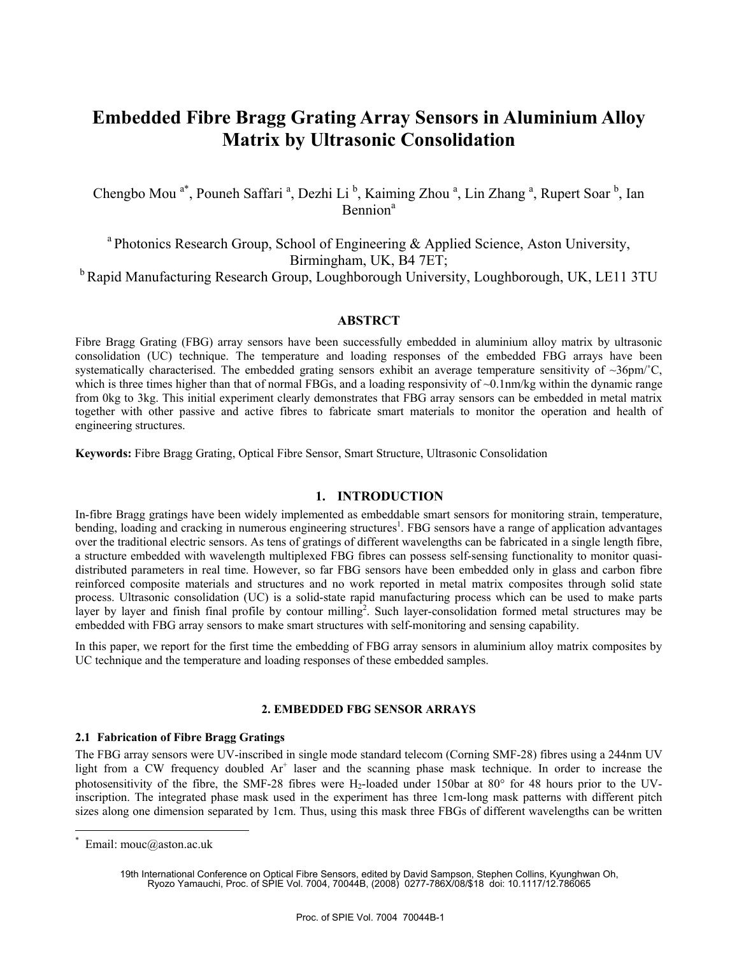# **Embedded Fibre Bragg Grating Array Sensors in Aluminium Alloy Matrix by Ultrasonic Consolidation**

Chengbo Mou<sup>a\*</sup>, Pouneh Saffari<sup>a</sup>, Dezhi Li<sup>b</sup>, Kaiming Zhou<sup>a</sup>, Lin Zhang<sup>a</sup>, Rupert Soar<sup>b</sup>, Ian Bennion<sup>a</sup>

<sup>a</sup> Photonics Research Group, School of Engineering & Applied Science, Aston University, Birmingham, UK, B4 7ET;

<sup>b</sup> Rapid Manufacturing Research Group, Loughborough University, Loughborough, UK, LE11 3TU

# **ABSTRCT**

Fibre Bragg Grating (FBG) array sensors have been successfully embedded in aluminium alloy matrix by ultrasonic consolidation (UC) technique. The temperature and loading responses of the embedded FBG arrays have been systematically characterised. The embedded grating sensors exhibit an average temperature sensitivity of  $\sim$ 36pm/ $\degree$ C, which is three times higher than that of normal FBGs, and a loading responsivity of  $\sim 0.1$ nm/kg within the dynamic range from 0kg to 3kg. This initial experiment clearly demonstrates that FBG array sensors can be embedded in metal matrix together with other passive and active fibres to fabricate smart materials to monitor the operation and health of engineering structures.

**Keywords:** Fibre Bragg Grating, Optical Fibre Sensor, Smart Structure, Ultrasonic Consolidation

# **1. INTRODUCTION**

In-fibre Bragg gratings have been widely implemented as embeddable smart sensors for monitoring strain, temperature, bending, loading and cracking in numerous engineering structures<sup>1</sup>. FBG sensors have a range of application advantages over the traditional electric sensors. As tens of gratings of different wavelengths can be fabricated in a single length fibre, a structure embedded with wavelength multiplexed FBG fibres can possess self-sensing functionality to monitor quasidistributed parameters in real time. However, so far FBG sensors have been embedded only in glass and carbon fibre reinforced composite materials and structures and no work reported in metal matrix composites through solid state process. Ultrasonic consolidation (UC) is a solid-state rapid manufacturing process which can be used to make parts layer by layer and finish final profile by contour milling<sup>2</sup>. Such layer-consolidation formed metal structures may be embedded with FBG array sensors to make smart structures with self-monitoring and sensing capability.

In this paper, we report for the first time the embedding of FBG array sensors in aluminium alloy matrix composites by UC technique and the temperature and loading responses of these embedded samples.

# **2. EMBEDDED FBG SENSOR ARRAYS**

## **2.1 Fabrication of Fibre Bragg Gratings**

The FBG array sensors were UV-inscribed in single mode standard telecom (Corning SMF-28) fibres using a 244nm UV light from a CW frequency doubled Ar<sup>+</sup> laser and the scanning phase mask technique. In order to increase the photosensitivity of the fibre, the SMF-28 fibres were H<sub>2</sub>-loaded under 150bar at 80 $\degree$  for 48 hours prior to the UVinscription. The integrated phase mask used in the experiment has three 1cm-long mask patterns with different pitch sizes along one dimension separated by 1cm. Thus, using this mask three FBGs of different wavelengths can be written

 $\overline{a}$ 

<sup>\*</sup> Email: mouc@aston.ac.uk

<sup>19</sup>th International Conference on Optical Fibre Sensors, edited by David Sampson, Stephen Collins, Kyunghwan Oh, Ryozo Yamauchi, Proc. of SPIE Vol. 7004, 70044B, (2008) 0277-786X/08/\$18 doi: 10.1117/12.786065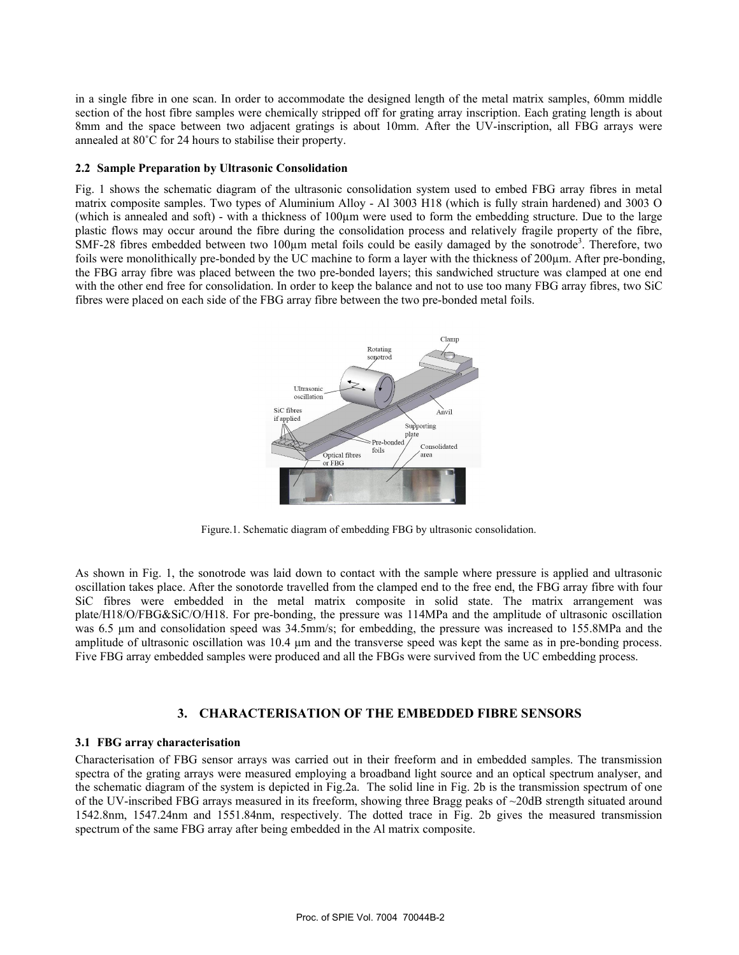in a single fibre in one scan. In order to accommodate the designed length of the metal matrix samples, 60mm middle section of the host fibre samples were chemically stripped off for grating array inscription. Each grating length is about 8mm and the space between two adjacent gratings is about 10mm. After the UV-inscription, all FBG arrays were annealed at 80˚C for 24 hours to stabilise their property.

#### **2.2 Sample Preparation by Ultrasonic Consolidation**

Fig. 1 shows the schematic diagram of the ultrasonic consolidation system used to embed FBG array fibres in metal matrix composite samples. Two types of Aluminium Alloy - Al 3003 H18 (which is fully strain hardened) and 3003 O (which is annealed and soft) - with a thickness of 100µm were used to form the embedding structure. Due to the large plastic flows may occur around the fibre during the consolidation process and relatively fragile property of the fibre, SMF-28 fibres embedded between two  $100\mu$ m metal foils could be easily damaged by the sonotrode<sup>3</sup>. Therefore, two foils were monolithically pre-bonded by the UC machine to form a layer with the thickness of 200 $\mu$ m. After pre-bonding, the FBG array fibre was placed between the two pre-bonded layers; this sandwiched structure was clamped at one end with the other end free for consolidation. In order to keep the balance and not to use too many FBG array fibres, two SiC fibres were placed on each side of the FBG array fibre between the two pre-bonded metal foils.



Figure.1. Schematic diagram of embedding FBG by ultrasonic consolidation.

As shown in Fig. 1, the sonotrode was laid down to contact with the sample where pressure is applied and ultrasonic oscillation takes place. After the sonotorde travelled from the clamped end to the free end, the FBG array fibre with four SiC fibres were embedded in the metal matrix composite in solid state. The matrix arrangement was plate/H18/O/FBG&SiC/O/H18. For pre-bonding, the pressure was 114MPa and the amplitude of ultrasonic oscillation was 6.5  $\mu$ m and consolidation speed was 34.5mm/s; for embedding, the pressure was increased to 155.8MPa and the amplitude of ultrasonic oscillation was 10.4 µm and the transverse speed was kept the same as in pre-bonding process. Five FBG array embedded samples were produced and all the FBGs were survived from the UC embedding process.

# **3. CHARACTERISATION OF THE EMBEDDED FIBRE SENSORS**

## **3.1 FBG array characterisation**

Characterisation of FBG sensor arrays was carried out in their freeform and in embedded samples. The transmission spectra of the grating arrays were measured employing a broadband light source and an optical spectrum analyser, and the schematic diagram of the system is depicted in Fig.2a. The solid line in Fig. 2b is the transmission spectrum of one of the UV-inscribed FBG arrays measured in its freeform, showing three Bragg peaks of ~20dB strength situated around 1542.8nm, 1547.24nm and 1551.84nm, respectively. The dotted trace in Fig. 2b gives the measured transmission spectrum of the same FBG array after being embedded in the Al matrix composite.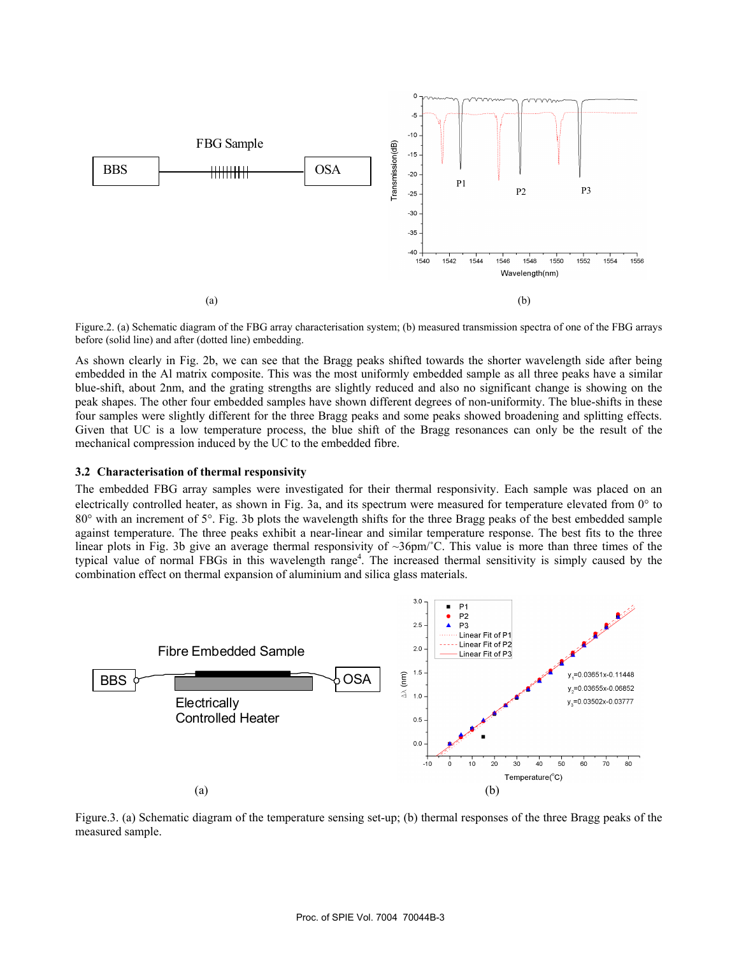

Figure.2. (a) Schematic diagram of the FBG array characterisation system; (b) measured transmission spectra of one of the FBG arrays before (solid line) and after (dotted line) embedding.

As shown clearly in Fig. 2b, we can see that the Bragg peaks shifted towards the shorter wavelength side after being embedded in the Al matrix composite. This was the most uniformly embedded sample as all three peaks have a similar blue-shift, about 2nm, and the grating strengths are slightly reduced and also no significant change is showing on the peak shapes. The other four embedded samples have shown different degrees of non-uniformity. The blue-shifts in these four samples were slightly different for the three Bragg peaks and some peaks showed broadening and splitting effects. Given that UC is a low temperature process, the blue shift of the Bragg resonances can only be the result of the mechanical compression induced by the UC to the embedded fibre.

#### **3.2 Characterisation of thermal responsivity**

The embedded FBG array samples were investigated for their thermal responsivity. Each sample was placed on an electrically controlled heater, as shown in Fig. 3a, and its spectrum were measured for temperature elevated from 0° to 80° with an increment of 5°. Fig. 3b plots the wavelength shifts for the three Bragg peaks of the best embedded sample against temperature. The three peaks exhibit a near-linear and similar temperature response. The best fits to the three linear plots in Fig. 3b give an average thermal responsivity of  $\sim 36 \text{pm}/\text{C}$ . This value is more than three times of the typical value of normal FBGs in this wavelength range<sup>4</sup>. The increased thermal sensitivity is simply caused by the combination effect on thermal expansion of aluminium and silica glass materials.



Figure.3. (a) Schematic diagram of the temperature sensing set-up; (b) thermal responses of the three Bragg peaks of the measured sample.